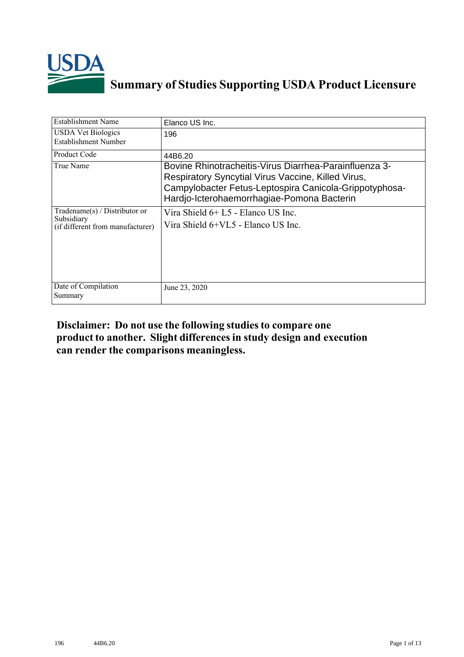

## **Summary of Studies Supporting USDA Product Licensure**

| Establishment Name                                                                | Elanco US Inc.                                                                                                                                                                                                       |
|-----------------------------------------------------------------------------------|----------------------------------------------------------------------------------------------------------------------------------------------------------------------------------------------------------------------|
| <b>USDA Vet Biologics</b><br>Establishment Number                                 | 196                                                                                                                                                                                                                  |
| Product Code                                                                      | 44B6.20                                                                                                                                                                                                              |
| True Name                                                                         | Bovine Rhinotracheitis-Virus Diarrhea-Parainfluenza 3-<br>Respiratory Syncytial Virus Vaccine, Killed Virus,<br>Campylobacter Fetus-Leptospira Canicola-Grippotyphosa-<br>Hardjo-Icterohaemorrhagiae-Pomona Bacterin |
| $Tradename(s) / Distributor$ or<br>Subsidiary<br>(if different from manufacturer) | Vira Shield 6+ L5 - Elanco US Inc.<br>Vira Shield 6+VL5 - Elanco US Inc.                                                                                                                                             |
| Date of Compilation<br>Summary                                                    | June 23, 2020                                                                                                                                                                                                        |

## **Disclaimer: Do not use the following studiesto compare one product to another. Slight differencesin study design and execution can render the comparisons meaningless.**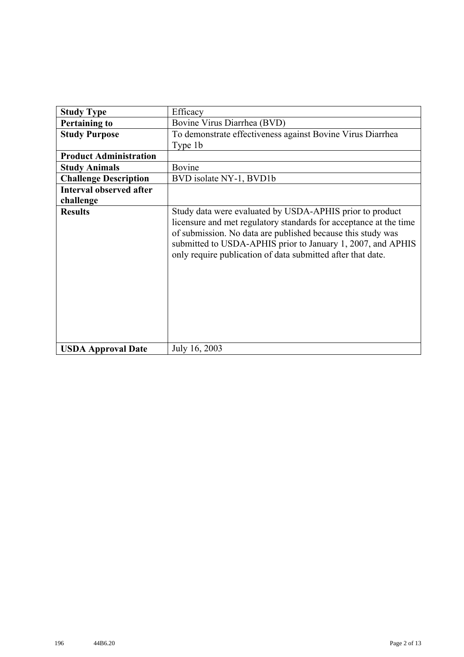| <b>Study Type</b>              | Efficacy                                                                                                                                                                                                                                                                                                                   |
|--------------------------------|----------------------------------------------------------------------------------------------------------------------------------------------------------------------------------------------------------------------------------------------------------------------------------------------------------------------------|
| <b>Pertaining to</b>           | Bovine Virus Diarrhea (BVD)                                                                                                                                                                                                                                                                                                |
| <b>Study Purpose</b>           | To demonstrate effectiveness against Bovine Virus Diarrhea                                                                                                                                                                                                                                                                 |
|                                | Type 1b                                                                                                                                                                                                                                                                                                                    |
| <b>Product Administration</b>  |                                                                                                                                                                                                                                                                                                                            |
| <b>Study Animals</b>           | Bovine                                                                                                                                                                                                                                                                                                                     |
| <b>Challenge Description</b>   | BVD isolate NY-1, BVD1b                                                                                                                                                                                                                                                                                                    |
| <b>Interval observed after</b> |                                                                                                                                                                                                                                                                                                                            |
| challenge                      |                                                                                                                                                                                                                                                                                                                            |
| <b>Results</b>                 | Study data were evaluated by USDA-APHIS prior to product<br>licensure and met regulatory standards for acceptance at the time<br>of submission. No data are published because this study was<br>submitted to USDA-APHIS prior to January 1, 2007, and APHIS<br>only require publication of data submitted after that date. |
| <b>USDA Approval Date</b>      | July 16, 2003                                                                                                                                                                                                                                                                                                              |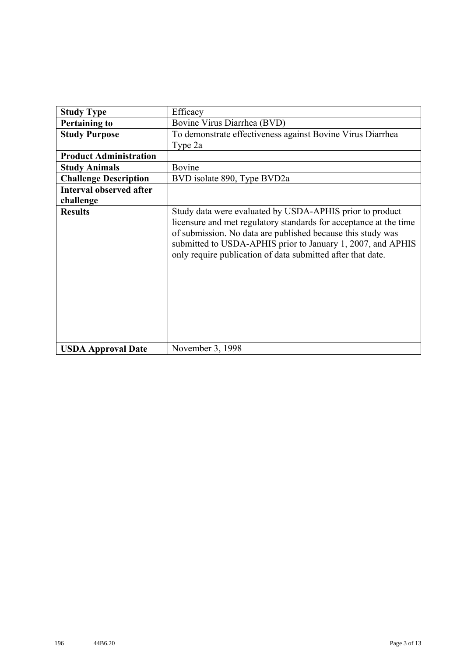| <b>Study Type</b>              | Efficacy                                                                                                                                                                                                                                                                                                                   |
|--------------------------------|----------------------------------------------------------------------------------------------------------------------------------------------------------------------------------------------------------------------------------------------------------------------------------------------------------------------------|
| <b>Pertaining to</b>           | Bovine Virus Diarrhea (BVD)                                                                                                                                                                                                                                                                                                |
| <b>Study Purpose</b>           | To demonstrate effectiveness against Bovine Virus Diarrhea                                                                                                                                                                                                                                                                 |
|                                | Type 2a                                                                                                                                                                                                                                                                                                                    |
| <b>Product Administration</b>  |                                                                                                                                                                                                                                                                                                                            |
| <b>Study Animals</b>           | Bovine                                                                                                                                                                                                                                                                                                                     |
| <b>Challenge Description</b>   | BVD isolate 890, Type BVD2a                                                                                                                                                                                                                                                                                                |
| <b>Interval observed after</b> |                                                                                                                                                                                                                                                                                                                            |
| challenge                      |                                                                                                                                                                                                                                                                                                                            |
| <b>Results</b>                 | Study data were evaluated by USDA-APHIS prior to product<br>licensure and met regulatory standards for acceptance at the time<br>of submission. No data are published because this study was<br>submitted to USDA-APHIS prior to January 1, 2007, and APHIS<br>only require publication of data submitted after that date. |
| <b>USDA Approval Date</b>      | November 3, 1998                                                                                                                                                                                                                                                                                                           |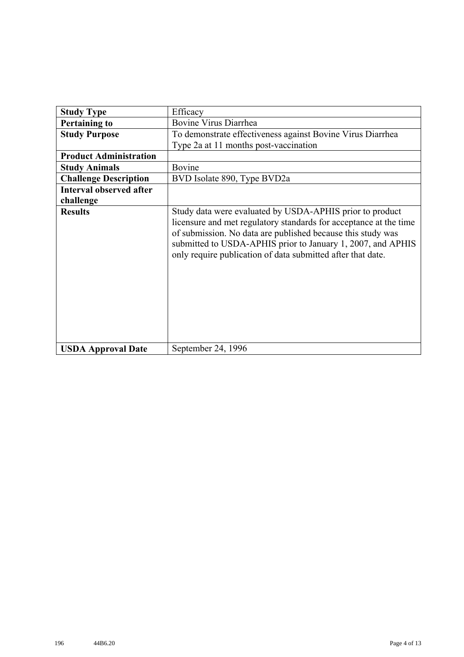| <b>Study Type</b>              | Efficacy                                                                                                                                                                                                                                                                                                                   |
|--------------------------------|----------------------------------------------------------------------------------------------------------------------------------------------------------------------------------------------------------------------------------------------------------------------------------------------------------------------------|
| <b>Pertaining to</b>           | Bovine Virus Diarrhea                                                                                                                                                                                                                                                                                                      |
| <b>Study Purpose</b>           | To demonstrate effectiveness against Bovine Virus Diarrhea                                                                                                                                                                                                                                                                 |
|                                | Type 2a at 11 months post-vaccination                                                                                                                                                                                                                                                                                      |
| <b>Product Administration</b>  |                                                                                                                                                                                                                                                                                                                            |
| <b>Study Animals</b>           | Bovine                                                                                                                                                                                                                                                                                                                     |
| <b>Challenge Description</b>   | BVD Isolate 890, Type BVD2a                                                                                                                                                                                                                                                                                                |
| <b>Interval observed after</b> |                                                                                                                                                                                                                                                                                                                            |
| challenge                      |                                                                                                                                                                                                                                                                                                                            |
| <b>Results</b>                 | Study data were evaluated by USDA-APHIS prior to product<br>licensure and met regulatory standards for acceptance at the time<br>of submission. No data are published because this study was<br>submitted to USDA-APHIS prior to January 1, 2007, and APHIS<br>only require publication of data submitted after that date. |
| <b>USDA Approval Date</b>      | September 24, 1996                                                                                                                                                                                                                                                                                                         |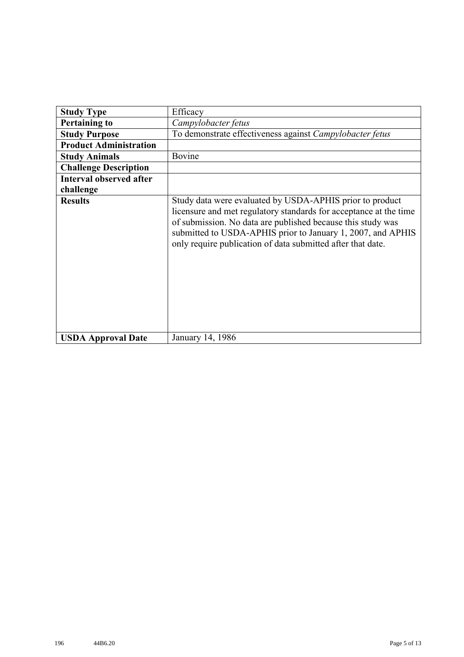| <b>Study Type</b>              | Efficacy                                                                                                                                                                                                                                                                                                                   |
|--------------------------------|----------------------------------------------------------------------------------------------------------------------------------------------------------------------------------------------------------------------------------------------------------------------------------------------------------------------------|
| <b>Pertaining to</b>           | Campylobacter fetus                                                                                                                                                                                                                                                                                                        |
| <b>Study Purpose</b>           | To demonstrate effectiveness against Campylobacter fetus                                                                                                                                                                                                                                                                   |
| <b>Product Administration</b>  |                                                                                                                                                                                                                                                                                                                            |
| <b>Study Animals</b>           | Bovine                                                                                                                                                                                                                                                                                                                     |
| <b>Challenge Description</b>   |                                                                                                                                                                                                                                                                                                                            |
| <b>Interval observed after</b> |                                                                                                                                                                                                                                                                                                                            |
| challenge                      |                                                                                                                                                                                                                                                                                                                            |
| <b>Results</b>                 | Study data were evaluated by USDA-APHIS prior to product<br>licensure and met regulatory standards for acceptance at the time<br>of submission. No data are published because this study was<br>submitted to USDA-APHIS prior to January 1, 2007, and APHIS<br>only require publication of data submitted after that date. |
| <b>USDA Approval Date</b>      | January 14, 1986                                                                                                                                                                                                                                                                                                           |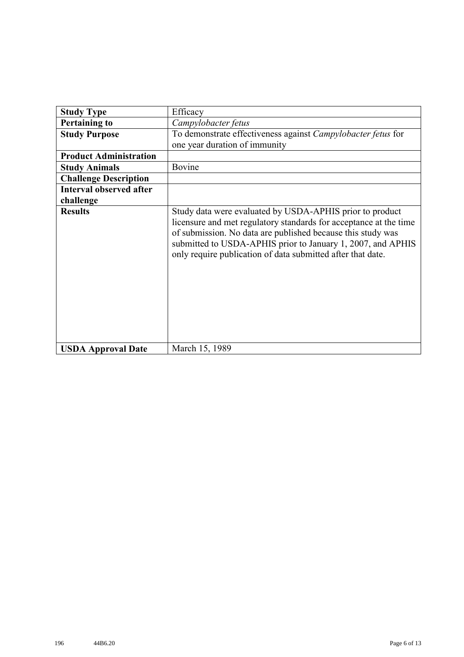| <b>Study Type</b>              | Efficacy                                                                                                                                                                                                                                                                                                                   |
|--------------------------------|----------------------------------------------------------------------------------------------------------------------------------------------------------------------------------------------------------------------------------------------------------------------------------------------------------------------------|
| <b>Pertaining to</b>           | Campylobacter fetus                                                                                                                                                                                                                                                                                                        |
| <b>Study Purpose</b>           | To demonstrate effectiveness against Campylobacter fetus for                                                                                                                                                                                                                                                               |
|                                | one year duration of immunity                                                                                                                                                                                                                                                                                              |
| <b>Product Administration</b>  |                                                                                                                                                                                                                                                                                                                            |
| <b>Study Animals</b>           | Bovine                                                                                                                                                                                                                                                                                                                     |
| <b>Challenge Description</b>   |                                                                                                                                                                                                                                                                                                                            |
| <b>Interval observed after</b> |                                                                                                                                                                                                                                                                                                                            |
| challenge                      |                                                                                                                                                                                                                                                                                                                            |
| <b>Results</b>                 | Study data were evaluated by USDA-APHIS prior to product<br>licensure and met regulatory standards for acceptance at the time<br>of submission. No data are published because this study was<br>submitted to USDA-APHIS prior to January 1, 2007, and APHIS<br>only require publication of data submitted after that date. |
| <b>USDA Approval Date</b>      | March 15, 1989                                                                                                                                                                                                                                                                                                             |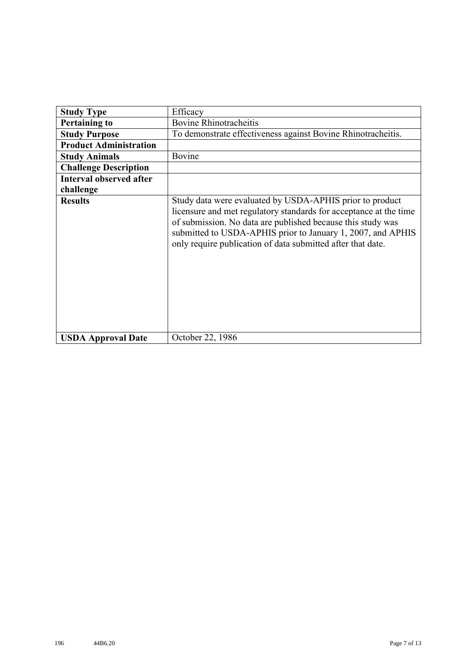| <b>Study Type</b>              | Efficacy                                                                                                                                                                                                                                                                                                                   |
|--------------------------------|----------------------------------------------------------------------------------------------------------------------------------------------------------------------------------------------------------------------------------------------------------------------------------------------------------------------------|
| <b>Pertaining to</b>           | <b>Bovine Rhinotracheitis</b>                                                                                                                                                                                                                                                                                              |
|                                |                                                                                                                                                                                                                                                                                                                            |
| <b>Study Purpose</b>           | To demonstrate effectiveness against Bovine Rhinotracheitis.                                                                                                                                                                                                                                                               |
| <b>Product Administration</b>  |                                                                                                                                                                                                                                                                                                                            |
| <b>Study Animals</b>           | Bovine                                                                                                                                                                                                                                                                                                                     |
| <b>Challenge Description</b>   |                                                                                                                                                                                                                                                                                                                            |
| <b>Interval observed after</b> |                                                                                                                                                                                                                                                                                                                            |
| challenge                      |                                                                                                                                                                                                                                                                                                                            |
| <b>Results</b>                 | Study data were evaluated by USDA-APHIS prior to product<br>licensure and met regulatory standards for acceptance at the time<br>of submission. No data are published because this study was<br>submitted to USDA-APHIS prior to January 1, 2007, and APHIS<br>only require publication of data submitted after that date. |
| <b>USDA Approval Date</b>      | October 22, 1986                                                                                                                                                                                                                                                                                                           |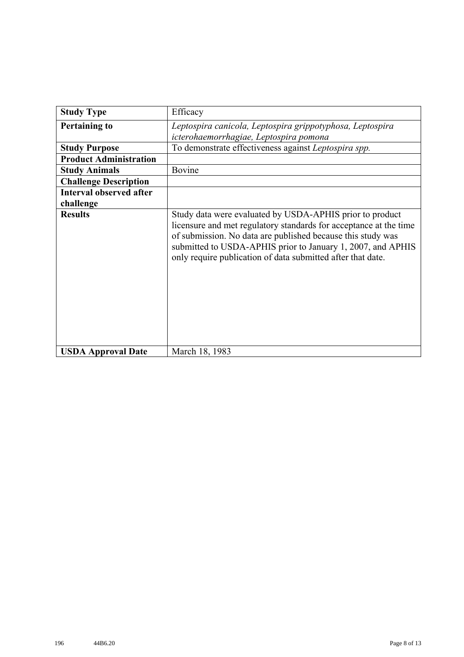| <b>Study Type</b>              | Efficacy                                                                                                                                                                                                                                                                                                                   |
|--------------------------------|----------------------------------------------------------------------------------------------------------------------------------------------------------------------------------------------------------------------------------------------------------------------------------------------------------------------------|
| <b>Pertaining to</b>           | Leptospira canicola, Leptospira grippotyphosa, Leptospira                                                                                                                                                                                                                                                                  |
|                                | icterohaemorrhagiae, Leptospira pomona                                                                                                                                                                                                                                                                                     |
| <b>Study Purpose</b>           | To demonstrate effectiveness against Leptospira spp.                                                                                                                                                                                                                                                                       |
| <b>Product Administration</b>  |                                                                                                                                                                                                                                                                                                                            |
| <b>Study Animals</b>           | Bovine                                                                                                                                                                                                                                                                                                                     |
| <b>Challenge Description</b>   |                                                                                                                                                                                                                                                                                                                            |
| <b>Interval observed after</b> |                                                                                                                                                                                                                                                                                                                            |
| challenge                      |                                                                                                                                                                                                                                                                                                                            |
| <b>Results</b>                 | Study data were evaluated by USDA-APHIS prior to product<br>licensure and met regulatory standards for acceptance at the time<br>of submission. No data are published because this study was<br>submitted to USDA-APHIS prior to January 1, 2007, and APHIS<br>only require publication of data submitted after that date. |
| <b>USDA Approval Date</b>      | March 18, 1983                                                                                                                                                                                                                                                                                                             |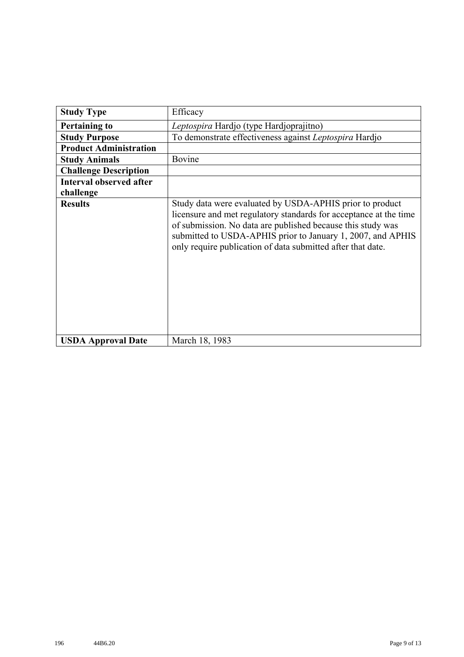| <b>Study Type</b>              | Efficacy                                                                                                                                                                                                                                                                                                                   |
|--------------------------------|----------------------------------------------------------------------------------------------------------------------------------------------------------------------------------------------------------------------------------------------------------------------------------------------------------------------------|
| <b>Pertaining to</b>           | Leptospira Hardjo (type Hardjoprajitno)                                                                                                                                                                                                                                                                                    |
| <b>Study Purpose</b>           | To demonstrate effectiveness against Leptospira Hardjo                                                                                                                                                                                                                                                                     |
| <b>Product Administration</b>  |                                                                                                                                                                                                                                                                                                                            |
| <b>Study Animals</b>           | Bovine                                                                                                                                                                                                                                                                                                                     |
| <b>Challenge Description</b>   |                                                                                                                                                                                                                                                                                                                            |
| <b>Interval observed after</b> |                                                                                                                                                                                                                                                                                                                            |
| challenge                      |                                                                                                                                                                                                                                                                                                                            |
| <b>Results</b>                 | Study data were evaluated by USDA-APHIS prior to product<br>licensure and met regulatory standards for acceptance at the time<br>of submission. No data are published because this study was<br>submitted to USDA-APHIS prior to January 1, 2007, and APHIS<br>only require publication of data submitted after that date. |
| <b>USDA Approval Date</b>      | March 18, 1983                                                                                                                                                                                                                                                                                                             |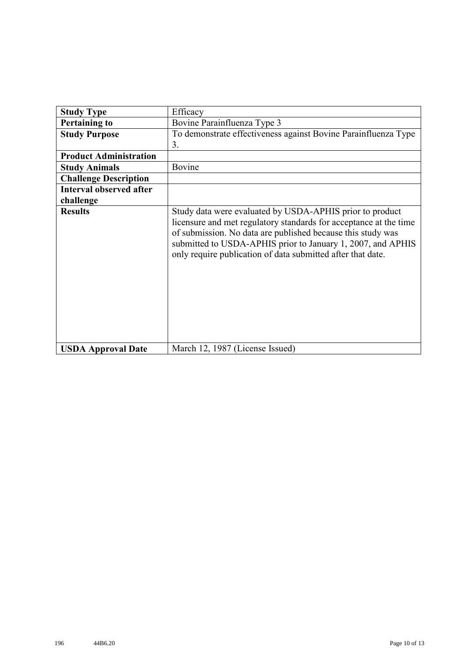| <b>Study Type</b>              | Efficacy                                                                                                                                                                                                                                                                                                                   |
|--------------------------------|----------------------------------------------------------------------------------------------------------------------------------------------------------------------------------------------------------------------------------------------------------------------------------------------------------------------------|
| <b>Pertaining to</b>           | Bovine Parainfluenza Type 3                                                                                                                                                                                                                                                                                                |
| <b>Study Purpose</b>           | To demonstrate effectiveness against Bovine Parainfluenza Type                                                                                                                                                                                                                                                             |
|                                | 3.                                                                                                                                                                                                                                                                                                                         |
| <b>Product Administration</b>  |                                                                                                                                                                                                                                                                                                                            |
| <b>Study Animals</b>           | Bovine                                                                                                                                                                                                                                                                                                                     |
| <b>Challenge Description</b>   |                                                                                                                                                                                                                                                                                                                            |
| <b>Interval observed after</b> |                                                                                                                                                                                                                                                                                                                            |
| challenge                      |                                                                                                                                                                                                                                                                                                                            |
| <b>Results</b>                 | Study data were evaluated by USDA-APHIS prior to product<br>licensure and met regulatory standards for acceptance at the time<br>of submission. No data are published because this study was<br>submitted to USDA-APHIS prior to January 1, 2007, and APHIS<br>only require publication of data submitted after that date. |
| <b>USDA Approval Date</b>      | March 12, 1987 (License Issued)                                                                                                                                                                                                                                                                                            |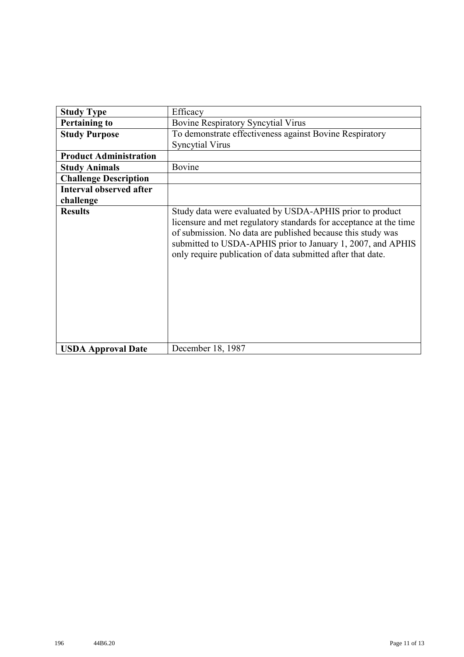| <b>Study Type</b>              | Efficacy                                                                                                                                                                                                                                                                                                                   |
|--------------------------------|----------------------------------------------------------------------------------------------------------------------------------------------------------------------------------------------------------------------------------------------------------------------------------------------------------------------------|
| <b>Pertaining to</b>           | <b>Bovine Respiratory Syncytial Virus</b>                                                                                                                                                                                                                                                                                  |
| <b>Study Purpose</b>           | To demonstrate effectiveness against Bovine Respiratory                                                                                                                                                                                                                                                                    |
|                                | <b>Syncytial Virus</b>                                                                                                                                                                                                                                                                                                     |
| <b>Product Administration</b>  |                                                                                                                                                                                                                                                                                                                            |
| <b>Study Animals</b>           | Bovine                                                                                                                                                                                                                                                                                                                     |
| <b>Challenge Description</b>   |                                                                                                                                                                                                                                                                                                                            |
| <b>Interval observed after</b> |                                                                                                                                                                                                                                                                                                                            |
| challenge                      |                                                                                                                                                                                                                                                                                                                            |
| <b>Results</b>                 | Study data were evaluated by USDA-APHIS prior to product<br>licensure and met regulatory standards for acceptance at the time<br>of submission. No data are published because this study was<br>submitted to USDA-APHIS prior to January 1, 2007, and APHIS<br>only require publication of data submitted after that date. |
| <b>USDA Approval Date</b>      | December 18, 1987                                                                                                                                                                                                                                                                                                          |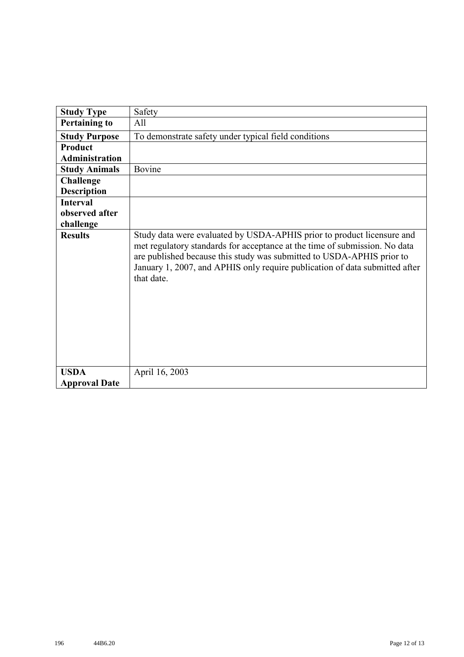| <b>Study Type</b>     | Safety                                                                                                                                                                                                                                                                                                                     |
|-----------------------|----------------------------------------------------------------------------------------------------------------------------------------------------------------------------------------------------------------------------------------------------------------------------------------------------------------------------|
| <b>Pertaining to</b>  | All                                                                                                                                                                                                                                                                                                                        |
| <b>Study Purpose</b>  | To demonstrate safety under typical field conditions                                                                                                                                                                                                                                                                       |
| Product               |                                                                                                                                                                                                                                                                                                                            |
| <b>Administration</b> |                                                                                                                                                                                                                                                                                                                            |
| <b>Study Animals</b>  | Bovine                                                                                                                                                                                                                                                                                                                     |
| <b>Challenge</b>      |                                                                                                                                                                                                                                                                                                                            |
| <b>Description</b>    |                                                                                                                                                                                                                                                                                                                            |
| <b>Interval</b>       |                                                                                                                                                                                                                                                                                                                            |
| observed after        |                                                                                                                                                                                                                                                                                                                            |
| challenge             |                                                                                                                                                                                                                                                                                                                            |
| <b>Results</b>        | Study data were evaluated by USDA-APHIS prior to product licensure and<br>met regulatory standards for acceptance at the time of submission. No data<br>are published because this study was submitted to USDA-APHIS prior to<br>January 1, 2007, and APHIS only require publication of data submitted after<br>that date. |
| <b>USDA</b>           | April 16, 2003                                                                                                                                                                                                                                                                                                             |
| <b>Approval Date</b>  |                                                                                                                                                                                                                                                                                                                            |